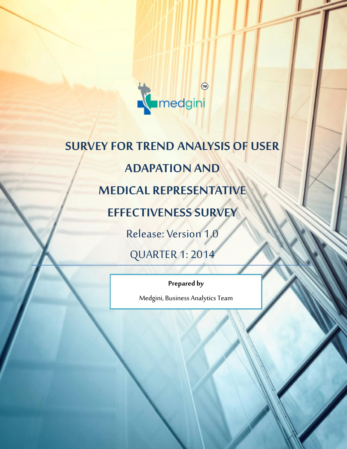

**Research Report ALL INDIA CHEMIST REPORT JANUARY 2014**

# **SURVEY FOR TREND ANALYSIS OF USER ADAPATION AND MEDICAL REPRESENTATIVE EFFECTIVENESS SURVEY** Release: Version 1.0 QUARTER 1: 2014

**Prepared by**

Medgini, Business Analytics Team

MEDGINI | For Private/ Select Circulation Only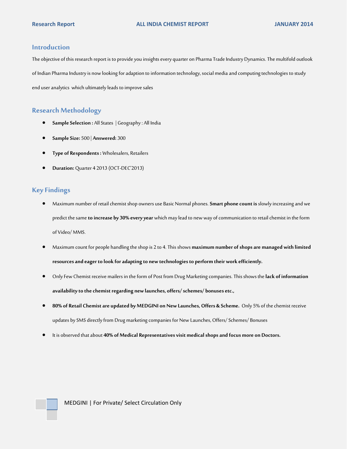#### **Introduction**

The objective of this research report is to provide you insights every quarter on Pharma Trade Industry Dynamics. The multifold outlook of Indian Pharma Industry is now looking for adaption to information technology, social mediaand computing technologies to study end user analytics which ultimatelyleads to improve sales

#### **Research Methodology**

- **Sample Selection :** All States | Geography : All India
- **Sample Size:** 500 | **Answered:** 300
- **Type of Respondents :**Wholesalers, Retailers
- **Duration:** Quarter 4 2013 (OCT-DEC'2013)

## **Key Findings**

- Maximum number of retail chemist shop owners use Basic Normal phones. **Smart phone count is**slowly increasing and we predict the same **to increase by 30% every year** which may lead to new way of communication to retail chemist in the form of Video/ MMS.
- Maximum count for people handling the shop is 2 to 4.This shows **maximum number of shops are managed with limited resources and eager to look for adapting to new technologies to perform their work efficiently.**
- Only Few Chemist receive mailers in the form of Post from Drug Marketing companies. This shows the **lack of information availability to the chemist regarding new launches, offers/ schemes/ bonuses etc.,**
- **80% of Retail Chemist are updated by MEDGINI on New Launches, Offers & Scheme.** Only 5% of the chemist receive updates by SMS directly from Drug marketing companies for New Launches, Offers/ Schemes/ Bonuses
- It is observed that about **40% of Medical Representatives visit medical shops and focus more on Doctors.**

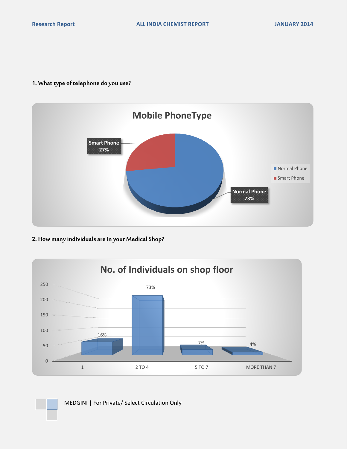## **1. What type of telephone do you use?**



# **2. How many individuals are in your Medical Shop?**



MEDGINI | For Private/ Select Circulation Only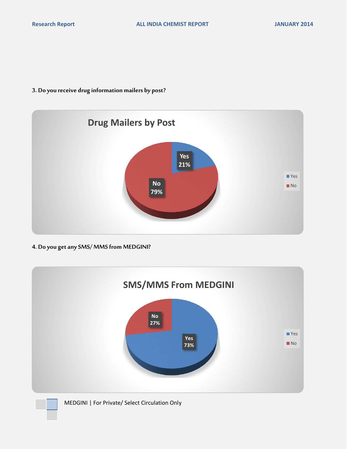## **3. Do you receive drug information mailers by post?**



**4. Do you get any SMS/ MMS from MEDGINI?**